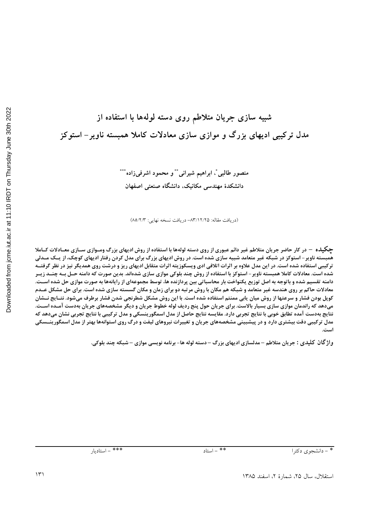شبیه سازی جریان متلاطم روی دسته لولهها با استفاده از مدل ترکیبی ادیهای بزرگ و موازی سازی معادلات کاملا همبسته ناویر – استوکز

> منصور طالبي ً، ابراهيم شيراني ً \* و محمود اشرفيزاده \*\*\* دانشکدهٔ مهندسی مکانیک، دانشگاه صنعتی اصفهان

(دریافت مقاله: ۸۳/۱۲/۲۵– دریافت نسخه نهایی: ۸۵/۲/۳)

**چگیل**ه – در کار حاضر جریان متلاطم غیر دائم عبوری از روی دسته لولهها با استفاده از روش ادیهای بزرگ ومـوازی ســازی معــادلات کــاملا همبسته ناویر – استوکز در شبکه غیر متعامد شبیه سازی شده است. در روش ادیهای بزرگ برای مدل کردن رفتار ادیهای کوچک، از یــک مــدلی ترکیبی استفاده شده است. در این مدل علاوه بر اثرات اتلافی ادی ویسکوزیته اثرات متقابل ادیهای ریز و درشت روی همدیگر نیز در نظر گرفتــه شده است. معادلات کاملا همبسته ناویر – استوکز با استفاده از روش چند بلوکی موازی سازی شدهاند. بدین صورت که دامنه حــل بــه چنــد زیــر دامنه تقسیم شده و باتوجه به اصل توزیع یکنواخت بار محاسباتی بین پردازنده ها، توسط مجموعهای از رایانهها به صورت موازی حل شده اســت. معادلات حاکم بر روی هندسه غیر متعامد و شبکه هم مکان با روش مرتبه دو برای زمان و مکان گسسته سازی شده است. برای حل مشکل عــدم کوپل بودن فشار و سرعتها از روش میان یابی ممنتم استفاده شده است. با این روش مشکل شطرنجی شدن فشار برطرف میشود. نتـایج نــشان میدهد که راندمان موازی سازی بسیار بالاست. برای جریان حول پنج ردیف لوله خطوط جریان و دیگر مشخصههای جریان بهدست آمـده اسـت. نتايج بهدست آمده تطابق خوبي با نتايج تجربي دارد. مقايسه نتايج حاصل از مدل اسمگورينسكي و مدل تركيبي با نتايج تجربي نشان مىدهد كه هدل ترکیبی دقت بیشتری دارد و در پیشبینی مشخصههای جریان و تغییرات نیروهای لیفت و درگ روی استوانهها بهتر از مدل اسمگورینــسکی **./**

واژ گان کلیدی : جریان متلاطم – مدلسازی ادیهای بزرگ – دسته لوله ها- برنامه نویسی موازی – شبکه چند بلوکی.

 # \*\*\* # \*\* ,- ./01& # \*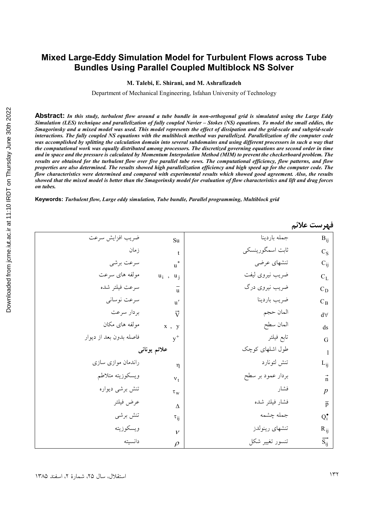# **Mixed Large-Eddy Simulation Model for Turbulent Flows across Tube Bundles Using Parallel Coupled Multiblock NS Solver**

**M. Talebi, E. Shirani, and M. Ashrafizadeh** 

Department of Mechanical Engineering, Isfahan University of Technology

**Abstract:** *In this study, turbulent flow around a tube bundle in non-orthogonal grid is simulated using the Large Eddy Simulation (LES) technique and parallelization of fully coupled Navier – Stokes (NS) equations. To model the small eddies, the Smagorinsky and a mixed model was used. This model represents the effect of dissipation and the grid-scale and subgrid-scale interactions. The fully coupled NS equations with the multiblock method was parallelized. Parallelization of the computer code was accomplished by splitting the calculation domain into several subdomains and using different processors in such a way that the computational work was equally distributed among processors. The discretized governing equations are second order in time and in space and the pressure is calculated by Momentum Interpolation Method (MIM) to prevent the checkerboard problem. The results are obtained for the turbulent flow over five parallel tube rows. The computational efficiency, flow patterns, and flow properties are also determined. The results showed high parallelization efficiency and high speed up for the computer code. The flow characteristics were determined and compared with experimental results which showed good agreement. Also, the results showed that the mixed model is better than the Smagorinsky model for evaluation of flow characteristics and lift and drag forces on tubes.* 

**Keywords:** *Turbulent flow, Large eddy simulation, Tube bundle, Parallel programming, Multiblock grid* 

|                         |                  |                   | فهرست علائم               |
|-------------------------|------------------|-------------------|---------------------------|
| ضريب افزايش سرعت        | Su               | جمله باردينا      | $B_{ij}$                  |
| زمان                    | t                | ثابت اسمگورینسکی  | $C_S$                     |
| سرعت برشي               | $\ast$<br>u      | تنشهاي عرضى       | $C_{ij}$                  |
| مولفه های سرعت          | $u_i$ ,<br>$u_i$ | ضريب نيروى ليفت   | $C_L$                     |
| سرعت فيلتر شده          | $\mathbf{u}$     | ضریب نیروی درگ    | $C_D$                     |
| سرعت نوساني             | $\mathbf{u}'$    | ضريب باردينا      | $C_B$                     |
| بردار سرعت              | $\vec{v}$        | المان حجم         | $d\forall$                |
| مولفه های مکان          | x, y             | المان سطح         | ds                        |
| فاصله بدون بعد از ديوار | $y^+$            | تابع فيلتر        | G                         |
|                         | علائم يونانى     | طول اشلهای کوچک   | 1                         |
| راندمان موازی سازی      | η                | تنش لئونارد       | $L_{ij}$                  |
| ويسكوزيته متلاطم        | $v_t$            | بردار عمود بر سطح | $\mathsf{n}$              |
| تنش برشى ديواره         | $\tau_{\rm w}$   | فشار              | $\boldsymbol{p}$          |
| عرض فيلتر               | Δ                | فشار فيلتر شده    | $\overline{p}$            |
| تنش برشى                | $\tau_{ii}$      | جمله چشمه         | $Q_i^{\bullet}$           |
| ويسكوزيته               | $\mathcal{V}$    | تنشهاي رينولدز    | $R_{ij}$                  |
| دانسيته                 | $\mathcal{D}$    | تنسور تغيير شكل   | $\overrightarrow{S_{ij}}$ |

ل، سال ۲۵، شمارهٔ ۲، اسفند ۱۳۸۵ ۱۳۲ میلیون استقلال استقلال استقلال استقلال استقلال استقلال استقلال استقلال استقلال استقلال استقلال استقلال استقلال استقلال استقلال استقلال استقلال استقلال استقلال استقلال استقلال استقلال استقلال استقلال استقلال استقلال است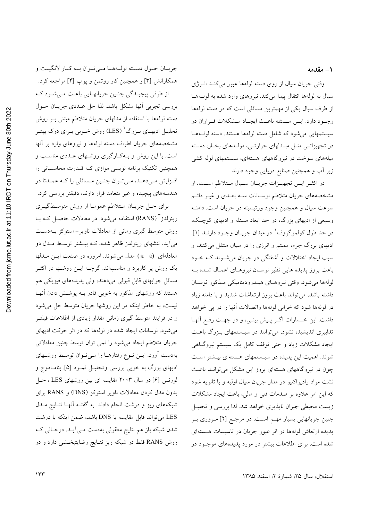۱ – مقدمه

وقتی جریان سیال از روی دسته لولهها عبور میکند انـرژی سیال به لولهها انتقال پیدا میکند. نیروهای وارد شده به لولهها از طرف سیال یکی از مهمترین مسائلی است که در دسته لولهها وجـود دارد. ايــن مــسئله باعــث ايجـاد مــشكلات فــراوان در سیستمهایی می شود که شامل دسته لولهها هستند. دسته لول ها در تجهیزاتـی مثـل مبـدلهای حرارتـی، مولـدهای بخـار، دسـته میلههای سوخت در نیروگاههای هستهای، سیستمهای لوله کشی زیر اَب و همچنین صنایع دریایی وجود دارند.

در اكثـر ايــن تجهيــزات جريــان ســيال مــتلاطم اســت. از مشخصههای جریان متلاطم نوسـانات سـه بعــدی و غیــر دائــم سرعت سیال و همچنین وجود ورتیسیته در جریان است. دامنـه وسیعی از ادیهای بزرگ، در حد ابعاد مسئله و ادیهای کوچک، در حد طول كولموگروف<sup>\</sup> در ميدان جريـان وجـود دارنــد [۱]. ادیهای بزرگ جرم، ممنتم و انرژی را در سیال منتقل میکنند، و سبب ایجاد اختلالات و آشفتگی در جریان می شــوند کــه خــود باعث بروز پدیده هایی نظیر نوسـان نیروهـای اعمـال شـده بـه لولهها مى شود. وقتى نيروهـاي هيـدروديناميكي مـذكور نوسـان داشته باشد، می تواند باعث بروز ارتعاشات شدید و با دامنه زیاد در لولهها شود که خرابی لولهها واتصالات آنها را در یی خواهد داشت. این خـسارات اگـر پـیش بینـی، و در جهـت رفـع آنهـا .<br>تدابیری اندیشیده نشود، می توانند در سیـستمهای بـزرگ باعـث ایجاد مشکلات زیاد و حتی توقف کامل یک سیستم نیروگاهی شوند. اهمیت این پدیده در سیستمهای هستهای بیـشتر اسـت چون در نیروگاههای هستهای بروز این مشکل می توانـد باعـث نشت مواد رادیواکتیو در مدار جریان سیال اولیه و یا ثانویه شود که این امر علاوه بر صدمات فنی و مالی، باعث ایجاد مشکلات زیست محیطی جبران ناپذیری خواهد شد. لذا بررسی و تحلیـل چنین جریانهایی بسیار مهم است. در مرجع [۲] مـروری بـر یدیده ارتعاش لولهها در اثر عبور جریان در تاسیسات هستهای شده است. برای اطلاعات بیشتر در مورد پدیدههای موجبود در

جريـان حـول دسـته لولـههـا مـىتوان بـه كـار لانگيـت و همکارانش [۳] و همچنین کار روتمن و پوپ [۴] مراجعه کرد.

از طرفي پيچيـدگي چنـين جريانهـايي باعـث مـيشـود كـه بررسي تجربي أنها مشكل باشد. لذا حل عــددي جريــان حــول دسته لولهها با استفاده از مدلهای جریان متلاطم مبتنی بـر روش تحلیـل ادیهـاي بـزرگ' (LES) روش خـوبي بـراي درک بهتـر مشخصههای جریان اطراف دسته لولهها و نیروهای وارد بر آنها است. با این روش و بـهکـارگیری روشـهای عـددی مناسـب و همچنین تکنیک برنامه نویسی موازی کـه قــدرت محاسـباتی را افزایش مےدہـد، مـیتوان چنـین مـسائلی را کـه عمـدتا در هندسههای پیچیده و غیر متعامد قرار دارند، دقیقتر بررسی کرد.

برای حـل جریــان مــتلاطم عمومــا از روش متوســطگیــری رینولدز " (RANS) استفاده میشود. در معادلات حاصـل کـه بـا روش متوسط گیری زمانی از معادلات ناویر- استوکز بـهدسـت می آید، تنشهای رینولدز ظاهر شده، کـه بیـشتر توسـط مـدل دو معادلهای (k-e) مدل میشوند. امروزه در صنعت ایـن مـدلها یک روش پر کاربرد و مناسباند. گرچــه ایــن روشــها در اکثــر مسائل جوابهای قابل قبولی میدهند، ولی پدیدههای فیزیکی هم هستند که روشهای مذکور به خوبی قادر بــه پوشــش دادن آنهــا نیست، به خاطر اینکه در این روشها جریان متوسط حل می شود و در فرایند متوسط گیری زمانی مقدار زیادی از اطلاعات فیلتــر میشود. نوسانات ایجاد شده در لولهها که در اثر حرکت ادیهای جریان متلاطم ایجاد میشود را نمی توان توسط چنین معادلاتی بهدست آورد. ایـن نـوع رفتارهـا را مـیتوان توسـط روشـهای ادیهای بزرگ به خوبی بررسی وتحلیـل نمـود [۵]. بنامـادوچ و لورنس [۶] در سال ۲۰۰۳ مقایسه ای بین روشهای LES ، حـل بدون مدل کردن معادلات ناویر استوکز (DNS) و RANS برای شبکههای ریز و درشت انجام دادند. به گفتـه آنهـا نتـایج مــدل LES می تواند قابل مقایسه با DNS باشد، ضمن اینکه با درشت شدن شبکه باز هم نتایج معقولی بهدست مـی]یـد. درحـالی کـه روش RANS فقط در شبکه ریز نتـایج رضایتبخـشی دارد و در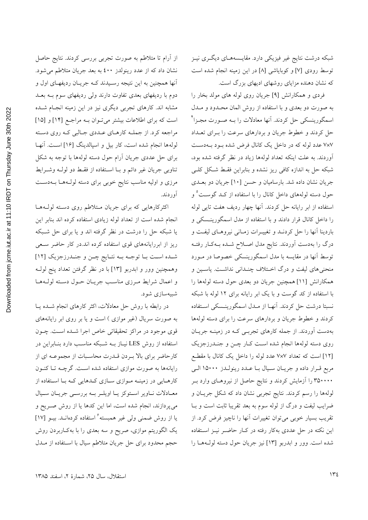شبکه درشت نتایج غیر فیزیکی دارد. مقایـسههـای دیگـری نیـز توسط رودي [٧] وكوباياشي [٨] در اين زمينه انجام شده است که نشان دهنده مزایای روشهای ادیهای بزرگ است.

فردی و همکارانش [۹] جریان روی لوله های مولد بخار را به صورت دو بعدی و با استفاده از روش المان محـدود و مـدل اسمگورینسکی حل کردند. آنها معادلات را بـه صـورت مجـزا<sup>۲</sup> حل کردند و خطوط جریان و بردارهای سرعت را بـرای تعــداد ۷×۷ عدد لوله که در داخل یک کانال فرض شده بود بـهدسـت آوردند. به علت اینکه تعداد لولهها زیاد در نظر گرفته شده بود، شبکه حل به اندازه کافی ریز نشده و بنابراین فقـط شـکل کلـی جریان نشان داده شد. بارسامیان و حسن [۱۰] جریان دو بعـدی حول دسته لولههای داخل کانال را با استفاده از کـد گوسـت<sup>°</sup> و استفاده از ابر رایانه حل کردند. آنها چهار ردیف هفت تایی لوله را داخل کانال قرار دادند و با استفاده از مدل اسمگورینـسکی و باردینا آنها را حل کردنـد و تغییـرات زمـانی نیروهـای لیفـت و درگ را بهدست آوردند. نتایج مدل اصلاح شـده بـهکـار رفتـه توسط آنها در مقايسه با مدل اسمگورينسكي خصوصا در مـورد منحنی های لیفت و درگ اختلاف چنـدانی نداشـت. پاسـین و همکارانش [۱۱] همچنین جریان دو بعدی حول دسته لولهها را با استفاده از کد گوست و با یک ابر رایانه برای ۱۲ لوله با شبکه نسبتا درشت حل کردند. آنهـا از مـدل اسمگورینـسکی اسـتفاده کردند و خطوط جریان و بردارهای سرعت را برای دسته لولهها بهدست اَوردند. از جمله کارهای تجربـی کـه در زمینـه جریـان روی دسته لولهها انجام شده است کـار چـن و جنـدرزجزیک [۱۲] است که تعداد ۷×۷ عدد لوله را داخل یک کانال با مقطع مربع قـرار داده و جريـان سـيال بـا عـدد رينولـدز ١٥٠٠٠ الـي ۳۵۰۰۰۰ را آزمایش کردند و نتایج حاصل از نیروهـای وارد بـر لولهها را رسم کردند. نتایج تجربی نشان داد که شکل جریـان و ضرایب لیفت و درگ از لوله سوم به بعد تقریبا ثابت است و بــا تقریب بسیار خوبی میتوان تغییرات آنها را ناچیز فرض کرد. از این نکته در حل عددی بهکار رفته در کـار حاضـر نیــز اســتفاده شده است. وور و ابدربو [۱۳] نیز جریان حول دسته لول ها را

از آرام تا متلاطم به صورت تجربی بررسی کردند. نتایج حاصل نشان داد که از عدد رینولدز ٤٠٠ به بعد جریان متلاطم می شود. آنها همچنین به این نتیجه رسـیدند کـه جریـان ردیفهـای اول و دوم با ردیفهای بعدی تفاوت دارند ولی ردیفهای سوم بـه بعـد مشابه اند. کارهای تجربی دیگری نیز در این زمینه انجـام شــده است که برای اطلاعات بیشتر میتوان بـه مراجـع [۱۴] و [۱۵] مراجعه كرد. از جملـه كارهـاي عـددي جـالبي كـه روي دسـته لولهها انجام شده است، کار بیل و اسپالدینگ [۱۶] است. آنهـا برای حل عددی جریان آرام حول دسته لولهها با توجه به شکل تناوبي جريان غير دائم و بــا اســتفاده از فقـط دو لولــه وشــرايط مرزی و اولیه مناسب نتایج خوبی برای دسته لول1ها بــهدسـت آو د دند.

اکثرکارهایی که برای جریان متلاطم روی دسته لول)ها انجام شده است از تعداد لوله زیادی استفاده کرده اند بنابر این یا شبکه حل را درشت در نظر گرفته اند و یا برای حل شـبکه ریز از ابررایانههای قوی استفاده کرده اند.در کار حاضر سعی شده است با توجه به نتايج چـن و جنـدرزجزيک [١٢] وهمچنین وور و ابدربو [۱۳] با در نظر گرفتن تعداد پنج لولـه و اعمال شرايط مـرزي مناسـب جريـان حـول دسـته لولـههـا شىيەسازى شود.

در رابطه با روش حل معادلات، اکثر کارهای انجام شـده یـا به صورت سریال (غیر موازی ) است و یا بر روی ابر رایانههای قوی موجود در مراکز تحقیقاتی خاص اجرا شـده اسـت. چــون استفاده از روش LES نیـاز بــه شــبکه مناســب دارد بنــابراین در كارحاضر براي بالا بـردن قـدرت محاسـبات از مجموعـه اي از رایانهها به صورت موازی استفاده شده است. گرچــه تــا کنــون کارهـایی در زمینــه مــوازی ســازی کــدهایی کــه بــا اســتفاده از معـادلات نـاوير اسـتوكز يـا اويلـر بـه بررسـي جريـان سـيال می پردازند، انجام شده است، اما این کدها یا از روش صـریح و یا از روش ضمنی ولی غیر همبسته<sup>۶</sup> استفاده کردهانــد. بیــو [۱۷] یک الگوریتم موازی، صریح و سه بعدی را با بهکـاربردن روش حجم محدود برای حل جریان متلاطم سیال با استفاده از مــدل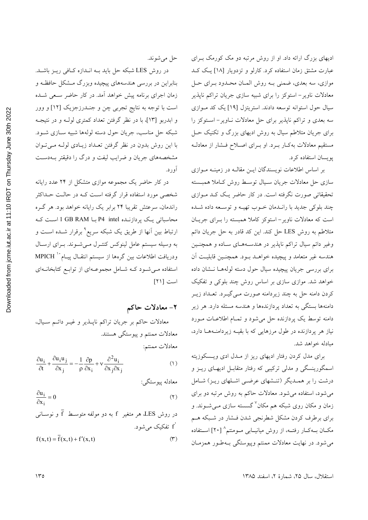ادیهای بزرگ ارائه داد. او از روش مرتبه دو مک کورمک بـرای عبارت مشتق زمان استفاده کرد. کارلو و تزدویار [۱۸] یک کـد موازي، سه بعدي، ضمني بـه روش المــان محـدود بـراي حـل معادلات ناویر- استوکز را برای شبیه سازی جریان تراکم ناپذیر سیال حول استوانه توسعه دادند. استریتزل [۱۹] یک کد مـوازی سه بعدی و تراکم ناپذیر برای حل معادلات نـاویر- اسـتوکز را برای جریان متلاطم سیال به روش ادیهای بزرگ و تکنیک حـل مستقیم معادلات به کبار ببرد. او ببرای اصلاح فسشار از معادل پویسان استفاده کرد.

بر اساس اطلاعات نویسندگان ایــن مقالــه در زمینــه مــوازی سازی حل معادلات جریان سـیال توسـط روش کـاملا همبـسته تحقیقاتی صورت نگرفته است. در کار حاضر یـک کـد مـوازی چند بلوکی جدید با رانـدمان خـوب تهیــه و توســعه داده شــده است که معادلات ناویر – استوکز کاملا همبسته را بـرای جریـان متلاطم به روش LES حل کند. این کد قادر به حل جریان دائم وغیر دائم سیال تراکم ناپذیر در هندسههای ساده و همچنین هندسه غير متعامد و پيچيده خواهـد بـود. همچنـين قابليـت آن برای بررسی جریان پیچیده سیال حول دسته لولههـا نــشان داده خواهد شد. موازی سازی بر اساس روش چند بلوکی و تفکیک کردن دامنه حل به چند زیردامنه صورت مـیگیــرد. تعــداد زیــر دامنهها بستگی به تعداد پردازندهها و هندسه مسئله دارد. هر زیر دامنه توسط یک پردازنده حل می شود و تمـام اطلاعـات مـورد نیاز هر پردازنده در طول مرزهایی که با بقیـه زیردامنـههـا دارد، مبادله خواهد شد.

برای مدل کردن رفتار ادیهای ریز از ملدل ادی ویسکوزیته اسمگورینسگی و مدلی ترکیبی که رفتار متقابـل ادیهـای ریـز و درشت را بر همـدیگر (تنـشهای عرضـی اشـلهای ریـز) شـامل می شود، استفاده می شود. معادلات حاکم به روش مرتبه دو برای زمان و مکان روی شبکه هم مکان<sup>۷</sup> گسسته سازی مـیشــوند. و برای برطرف کردن مشکل شطرنجی شدن فشار در شبکه هم مکــان بــهکــار رفتــه، از روش میانیـــابی مــومنتم^ [۲۰] اســتفاده می شود. در نهایت معادلات ممنتم وپیوستگی بـهطـور همزمـان

حل مي شوند.

در روش LES شبکه حل باید بـه انـدازه کـافی ریـز باشـد. بنابراین در بررسی هندسههای پیچیده وبزرگ مـشکل حافظـه و زمان اجرای برنامه پیش خواهد آمد. در کار حاضر سـعی شـده است با توجه به نتایج تجربی چن و جنـدرزجزیک [۱۲] و وور و ابدربو [۱۳]، با در نظر گرفتن تعداد کمتری لولـه و در نتیجـه شبکه حل مناسب، جريان حول دسته لولهها شبيه سـازي شــود. با این روش بدون در نظر گرفتن تعـداد زیـادی لولـه مــ تـوان مشخصههای جریان و ضرایب لیفت و درگ را دقیقتر بـهدسـت آور د.

در کار حاضر یک مجموعه موازی متشکل از ۲۴ عدد رایانه شخصی مورد استفاده قرار گرفته است کـه در حالـت حـداکثر راندمان، سرعتش تقریبا ۲۴ برابر یک رایانه خواهد بود. هر گـره محاسباتی یک پردازنـده P4 intel بـا I GB RAM اسـت کـه ارتباط بین آنها از طریق یک شبکه سریع<sup>۹</sup> برقرار شــده اســت و به وسیله سیستم عامل لینوکس کنتـرل مـیشـوند. بـرای ارسـال ودريافت اطلاعات بين گرەها از سيستم انتقــال پيــام`` MPICH استفاده مـی شـود کـه شـامل مجموعـهای از توابـع کتابخانـهای است [٢١]

# ۲- معادلات حاکم

معادلات حاکم بر جریان تراکم ناپـــذیر و غیـــر دائـــم ســیال، معادلات ممنتم و پیوستگی هستند. معادلات ممنتم:

$$
\frac{\partial u_i}{\partial t} + \frac{\partial u_i u_j}{\partial x_j} = -\frac{1}{\rho} \frac{\partial p}{\partial x_i} + v \frac{\partial^2 u_i}{\partial x_j \partial x_j}
$$
 (1)

معادله پيوستگي:

$$
\frac{\partial u_i}{\partial x_i} = 0 \tag{1}
$$

در روش LES هر متغیر f به دو مولفه متوسط ۲ و نوسانی  
\n' تفکیک میشود.  
\n
$$
f(x,t) = \overline{f}(x,t) + f'(x,t)
$$
 (۳)

استقلال، سال ٢۵، شمارة ٢، اسفند ١٣٨۵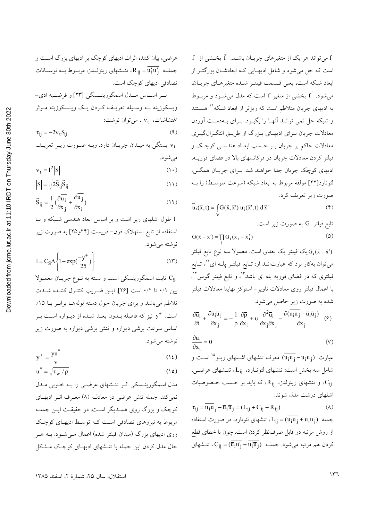عرضی، بیان کننده اثرات ادیهای کوچک بر ادیهای بزرگ است و جملــه  $\overline{\mathrm{u'_i \mathrm{u'}_i}} = \overline{\mathrm{u'_i \mathrm{u'}_i}}$ ، تنــشهای رینولـــدز، مربــوط بــه نوســـانات تصادفي اديهاي كوچک است. بر اساس ملل اسمگورینسگی [٢٣] و فرضيه ادي-ويسكوزيته بـه وسـيله تعريـف كـردن يـك ويـسكوزيته مـوثر اغتشاشات،  $v_t$  ، میتوان نوشت:  $\tau_{ii} = -2v_t\overline{S}_{ii}$  $(9)$ 

vt بستگی به میـدان جریـان دارد. وبـه صـورت زیـر تعریـف مى شود.

$$
v_t = 1^2 |\overline{S}| \tag{1.5}
$$

$$
\left|\overline{S}\right| = \sqrt{2\overline{S}_{ij}\overline{S}_{ij}}\tag{11}
$$

$$
\vec{S}_{ij} = \frac{1}{2} \left( \frac{\partial \bar{u}_i}{\partial x_j} + \frac{\partial u_j}{\partial x_i} \right)
$$
 (17)

1 طول اشلهای ریز است و بر اساس ابعاد هندسی شبکه و با استفاده از تابع استهلاک فون- دریست [۲۴و۲۵] به صورت زیر نوشته مي شود.

$$
1 = C_S \Delta \left\{ 1 - \exp(\frac{-y^+}{25}) \right\}
$$
 (17)

ثابت اسمگورینسکی است و بسته به نــوع جریــان معمــولا  $\rm\,C_S$ بين ٠/١ تا ٠/٢ است [٢۶]. ايـن ضـريب كنتـرل كننـده شـدت .<br>تلاطم میباشد و برای جریان حول دسته لولههــا برابــر بــا ۱۵٪ است. \*y نیز که فاصله بـدون بعـد شـده از دیـواره اسـت بـر اساس سرعت برشی دیواره و تنش برشی دیواره به صورت زیر نوشته مي شو د.

$$
y^{+} = \frac{yu^{*}}{v}
$$
 (12)

$$
u^* = \sqrt{\tau_w / \rho}
$$
 (10)

مدل اسمگورینـسکی اثـر تنـشهای عرضـی را بـه خـوبی مـدل نمي كند. جمله تنش عرضي در معادلـه (٨) معـرف اثـر اديهـاي کوچک و بزرگ روی همـدیگر اسـت. در حقیقـت ایـن جملـه مربوط به نیروهای تصادفی است کـه توسـط ادیهـای کوچـک روی ادیهای بزرگ (میدان فیلتر شده) اعمال مـیشـود. بـه هـر حال مدل کردن این جمله با تنـشهای ادیهـای کوچـک مـشکل  $f$  میتواند هر یک از متغیرهای جریـان باشــد.  $\bar{f}$  بخـشی از  $f$ است که حل می شود و شامل ادیهـایی کـه ابعادشـان بزرگتـر از ابعاد شبكه است، يعني قـسمت فيلتـر شـده متغيرهـاي جريـان، می شود. ٔf بخشی از متغیر f است که مدل می شــود و مربــوط به ادیهای جریان متلاطم است که ریزتر از ابعاد شبکه <sup>۱۱</sup> هـستند و شبکه حل نمی توانـد اَنهـا را بگیــرد. بــرای بــهدســت اَوردن معادلات جریان بـرای ادیهـای بـزرگ از طریـق انتگـرالگیـری معادلات حاکم بر جریان بے حسب ابعـاد هندسـی کوچـک و فیلتر کردن معادلات جریان در فرکانسهای بالا در فضای فوریـه، ادیهای کوچک جریان جدا خواهند شد. بـرای جریـان همگـن، لئونارد[۲۲] مولفه مربوط به ابعاد شبکه (سرعت متوسط) را بـه صورت زير تعريف كرد.

 $\overline{u}_i(\vec{x},t) = \int G(\vec{x},\vec{x}') u_i(\vec{x}',t) d\vec{x}'$  $(\mathfrak{F})$ 

تابع فیلتر G به صورت زیر است.

$$
G(\vec{x} - \vec{x}') = \prod_{i} G_i (x_i - x'_i)
$$
 (2)

یک فیلتر یک بعدی است. معمولا سه نوع تابع فیلتر  $G_i(\vec{x} - \vec{x}')$ میتوان بهکار برد که عبارتانــد از: تــابع فیلتــر پلــه ای<sup>۱٬</sup>، تــابع فیلتری که در فضای فوریه پله ای باشد<sup>۱۳</sup>، و تابع فیلتر گوس <sup>۱۴</sup>. با اعمال فیلتر روی معادلات ناویر–استوکز نهایتا معادلات فیلتر شده به صورت زیر حاصل می شود.

$$
\frac{\partial \overline{u}_i}{\partial t} + \frac{\partial \overline{u}_i \overline{u}_j}{\partial x_j} = -\frac{1}{\rho} \frac{\partial \overline{p}}{\partial x_i} + \upsilon \frac{\partial^2 \overline{u}_i}{\partial x_j \partial x_j} - \frac{\partial (\overline{u}_i u_j - \overline{u}_i \overline{u}_j)}{\partial x_j} \quad (9)
$$

$$
\frac{\partial \overline{u}_i}{\partial x_i} = 0 \tag{V}
$$

عبارت  $\overline{\mathrm{u}_i\mathrm{u}_j}-\overline{\mathrm{u}_i\mathrm{u}_j}$  معرف تنشهای اشــلهای ریــز $^\mathrm{o}$  اســت و شامل سه بخش است: تنشهای لئونارد، L<sub>ii</sub>، تنشهای عرضی، و تنشهای رینولدز، R<sub>ij</sub>، که باید بر حسب خـصوصیات، C<sub>ij</sub> اشلهای درشت مدل شوند.

 $\tau_{ij} = \overline{\mathbf{u}_i \mathbf{u}}_j - \overline{\mathbf{u}}_i \overline{\mathbf{u}}_j = (\mathbf{L}_{ij} + \mathbf{C}_{ij} + \mathbf{R}_{ij})$  $(\wedge)$ از روش مرتبه دو قابل صرف:ظر کردن است. چون با خطای قطع کردن هم مرتبه میشود. جملــه  $\overline{\overline{\overline{u}_i u'_1 + \overline{u'_1 u_1}}}$ ، تنــشهای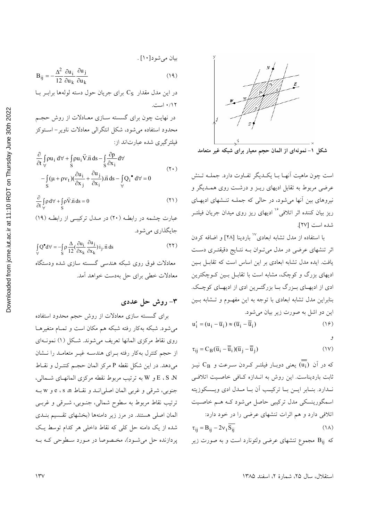

شکل ۱- نمونهای از المان حجم معیار برای شبکه غیر متعامد

است چون ماهیت آنهـا بـا یکـدیگر تفـاوت دارد. جملـه تـنش عرضی مربوط به تقابل ادیهای ریـز و درشـت روی همـدیگر و نیروهای بین آنها می شود، در حالی که جملـه تنـشهای ادیهـای ریز بیان کننده اثر اتلافی<sup>۱۶</sup> ادیهای ریز روی میدان جریان فیلتــر شده است [٢٧].

با استفاده از مدل تشابه ابعادی°` باردینا [۲۸] و اضافه کردن اثر تنشهای عرضی در مدل میتوان بـه نتـایج دقیقتـری دسـت یافت. ایده مدل تشابه ابعادی بر این اساس است که تقابـل بـین ادیهای بزرگ و کوچک، مشابه است با تقابــل بــین کــوچکترین ادي از اديهـاي بـزرگ بـا بزرگتـرين ادي از اديهـاي كوچـك. بنابراین مدل تشابه ابعادی با توجه به این مفهـوم و تـشابه بـین این دو اشل به صورت زیر بیان می شود.

$$
\mathbf{u}'_1 = (\mathbf{u}_1 - \overline{\mathbf{u}}_1) \approx (\overline{\mathbf{u}}_1 - \overline{\overline{\mathbf{u}}}_1) \tag{19}
$$

$$
\tau_{ij} = C_B (\overline{u}_i - \overline{\overline{u}}_i)(\overline{u}_j - \overline{\overline{u}}_j)
$$
 (1V)

که در آن  $(\overline{\mathrm{u_i}})$  یعنی دوبـار فیلتـر کـردن سـرعت و  $\mathrm{C}_{\mathrm{B}}$  نیـز ثابت باردیناست. این روش به انـدازه کـافی خاصـیت اتلافـی نـدارد. بنـابر ايــن بــا تركيــب آن بــا مــدل ادى ويــسكوزيته اسمگورینسکی مدل ترکیبی حاصل میشود کـه هـم خاصـیت اتلافی دارد و هم اثرات تنشهای عرضی را در خود دارد:

$$
\tau_{ij} = B_{ij} - 2v_t S_{ij}
$$
\n(1A)

که  $\rm{B_{ij}}$  مجموع تنشهای عرضی ولئونارد است و به صورت زیر

$$
B_{ij} = -\frac{\Delta^2}{12} \frac{\partial u_i}{\partial u_k} \frac{\partial u_j}{\partial u_k}
$$
 (14)

در این مدل مقدار  $C_{\rm S}$  برای جریان حول دسته لولهها برابـر بـا ٠/١٢ است.

در نهایت چون برای گسسته سـازی معـادلات از روش حجـم محدود استفاده می شود، شکل انتگرالی معادلات ناویر- اسـتوکز فیلتر گیری شده عبارتاند از:

$$
\frac{\partial}{\partial t} \int_{\forall} \rho u_i \, d\forall + \int_{S} \rho u_i \vec{V} \cdot \vec{n} \, ds - \int_{S} \frac{\partial p}{\partial x_i} \, d\forall \n- \int_{S} (\mu + \rho v_t) (\frac{\partial u_i}{\partial x_j} + \frac{\partial u_j}{\partial x_i}) \cdot \vec{n} \, ds - \int_{\forall} Q_i^{\bullet} \, d\forall = 0
$$
\n(7.)

$$
\frac{\partial}{\partial t} \int_{\forall} \rho \, d\forall + \int_{S} \rho \vec{V} . \vec{n} \, ds = 0 \tag{1}
$$

عبارت چشمه در رابطـه (۲۰) در مـدل ترکیبـ از رابطـه (۱۹) جايگذاري مي شو د.

$$
\int_{\forall} Q^{\bullet} d\forall = -\int_{S} \rho \frac{\Delta}{12} (\frac{\partial u_{i}}{\partial x_{k}} \frac{\partial u_{j}}{\partial x_{k}}) i_{j}.\vec{n} ds
$$
\n(11)  
\n22)  
\n33  
\n44  
\n-45  
\n-56  
\n-67  
\n-68  
\n-69  
\n-10  
\n-11  
\n-12  
\n-13  
\n-15  
\n-15  
\n-16  
\n-10  
\n-10  
\n-11  
\n-12  
\n-15  
\n-16  
\n-10  
\n-11  
\n-12  
\n-15  
\n-16  
\n-16  
\n-16  
\n-17  
\n-18  
\n-19  
\n-19  
\n-10  
\n-10  
\n-10  
\n-10  
\n-10  
\n-10  
\n-10  
\n-10  
\n-10  
\n-10  
\n-10  
\n-10  
\n-10  
\n-10  
\n-10  
\n-10  
\n-10  
\n-10  
\n-10  
\n-10  
\n-10  
\n-10  
\n-10  
\n-10  
\n-10  
\n-10  
\n-10  
\n-10  
\n-10  
\n-10  
\n-10  
\n-10  
\n-10  
\n-10  
\n-10  
\n-10  
\n-10  
\n-10  
\n-10  
\n-10  
\n-10  
\n-10  
\n-10  
\n-10  
\n-10  
\n-10  
\n-10  
\n-10  
\n-10  
\n-10  
\n-10  
\n-10  
\n-10  
\n-10  
\n-10  
\n-10  
\n-10  
\n-10  
\n-10  
\n-10  
\n-10  
\n-10  
\n-10  
\n-10  
\n-10  
\n-10  
\n-10  
\n-10  
\n-10  
\n-10  
\n-10  
\n-10  
\n-10  
\n-10  
\n-10  
\n-10  
\n-10  
\n-10  
\n-10  
\n-10  
\n-10  
\n-10

# ٣- روش حل عددي

برای گسسته سازی معادلات از روش حجم محدود استفاده می شود. شبکه بهکار رفته شبکه هم مکان است و تمـام متغیرهـا روي نقاط مركزي المانها تعريف مي شوند. شكل (١) نمونـهاي از حجم کنترل بهکار رفته بـرای هندسـه غیـر متعامـد را نـشان میدهد. در این شکل نقطه P مرکز المان حجـم کنتـرل و نقــاط E ، S ،N و W به ترتيب مربوط نقطه مركزي المانهـاي شـمالي، جنوبي، شرقي و غربي المان اصلي انـد و نقـاط e ، s ،n و w بـه ترتیب نقاط مربوط به سطوح شمالی، جنوبی، شـرقی و غربـی المان اصلی هستند. در مرز زیر دامنهها (بخشهای تقـسیم بنـدی شده از یک دامنه حل کلی که نقاط داخلی هر کدام توسط یـک پردازنده حل می شود)، مخصوصا در مورد سطوحی که به

استقلال، سال ٢۵، شمارهٔ ٢، اسفند ١٣٨۵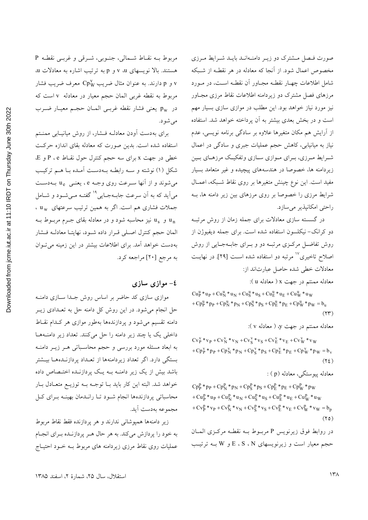Downloaded from jcme.iut.ac.ir at 11:10 IRDT on Thursday June 30th 2022

صورت فيصل مشترك دو زيير دامنـهانـد بايـد شـرايط مـرزى مخصوص اعمال شود. از آنجا که معادله در هر نقطـه از شـبکه شامل اطلاعات چهـار نقطـه مجـاور آن نقطـه اسـت، در مـورد مرزهای فصل مشترک دو زیردامنه اطلاعات نقاط مرزی مجـاور نیز مورد نیاز خواهد بود. این مطلب در موازی سازی بسیار مهم است و در بخش بعدی بیشتر به آن پرداخته خواهد شد. استفاده از آرایش هم مکان متغیرها علاوه بر سادگی برنامه نویسی، عدم نیاز به میانیابی، کاهش حجم عملیات جبری و سادگی در اعمال شـرایط مـرزي، بـراي مـوازي سـازي وتفكيـك مرزهـاي بـين زیردامنه ها، خصوصا در هندسههای پیچیده و غیر متعامد بسیار مفيد است. اين نوع چينش متغيرها بر روى نقاط شـبكه، اعمـال شرایط مرزی را خصوصا بر روی مرزهای بین زیر دامنه ها، ب راحتی امکانیذیر می سازد.

در گسسته سازی معادلات برای جمله زمان از روش مرتب دو کرانک-نیکلسون استفاده شده است. برای جمله دیفیوژن از روش تفاضل مرکزی مرتبـه دو و بـرای جابـهجـایی از روش اصلاح تاخیری<sup>۱۷</sup> مرتبه دو استفاده شده اسـت [۲۹]. در نهایـت معادلات خطى شده حاصل عبارتاند از:

معادله ممنتم در جهت x ( معادله u):

 $Cu_{P}^{u}*u_{P}+Cu_{N}^{u}*u_{N}+Cu_{S}^{u}*u_{S}+Cu_{E}^{u}*u_{E}+Cu_{W}^{u}*u_{W}$ +  $Cp_P^u$  \*  $p_P$  +  $Cp_N^u$  \*  $p_N$  +  $Cp_S^u$  \*  $p_S$  +  $Cp_E^u$  \*  $p_E$  +  $Cp_W^u$  \*  $p_W$  =  $b_u$  $(11)$ 

معادله ممنتم در جهت y، ( معادله v ):

 $CV_{P}^{V} * v_{P} + CV_{N}^{V} * v_{N} + CV_{S}^{V} * v_{S} + CV_{E}^{V} * v_{E} + CV_{W}^{V} * v_{W}$ + $Cp_{P}^{V}$  \*  $p_{P}$  +  $Cp_{N}^{V}$  \*  $p_{N}$  +  $Cp_{S}^{V}$  \*  $p_{S}$  +  $Cp_{E}^{V}$  \*  $p_{E}$  +  $Cp_{W}^{V}$  \*  $p_{W}$  =  $b_{V}$  $(YL)$ 

معادله پیوستگی، معادله (p) :

 $Cp_{P}^{p} * p_{P} + Cp_{N}^{p} * p_{N} + Cp_{S}^{p} * p_{S} + Cp_{E}^{p} * p_{E} + Cp_{W}^{p} * p_{W}$ +  $Cu_P^p * u_P + Cu_N^p * u_N + Cu_S^p * u_S + Cu_E^p * u_E + Cu_W^p * u_W$  $+C v_{P}^{p} \ast v_{P}+C v_{N}^{p} \ast v_{N}+C v_{S}^{p} \ast v_{S}+C v_{E}^{p} \ast v_{E}+C v_{W}^{p} \ast v_{W}=b_{p}$  $(50)$ 

در روابط فوق زيرنويس P مربوط بـه نقطـه مركـزى المـان حجم معیار است و زیرنویسهای E ، S ، N و W بـه ترتیـب

مربوط بـه نقـاط شـمالي، جنـوبي، شـرقي و غربـي نقطـه P هستند. بالا نویسهای v ،u و p به ترتیب اشاره به معادلات u و p دارند. به عنوان مثال ضریب Cp $_{\rm W}^{\rm V}$  معرف ضریب فشار  $_{\rm V}$ مربوط به نقطه غربی المان حجم معیار در معادله v است که در pw يعني فشار نقطه غربـي المـان حجـم معيـار ضـرب مې شو د.

برای بهدست آودن معادلـه فـشار، از روش میانیـابی ممنـتم استفاده شده است. بدین صورت که معادله بقای اندازه حرکت خطی در جهت x برای سه حجم کنترل حول نقـاط P ، e و E. شکل (۱) نوشته و سـه رابطـه بـهدسـت آمـده بـا هـم ترکيـب می شوند و از آنها سـرعت روی وجــه e، یعنــی u<sub>e</sub> بــهدســت می آید که به آن سرعت جابـهجـایی<sup>۱۹</sup> گفتـه مـی شـود و شــامل جملات فشاری هم است. اگر به همین ترتیب سرعتهای uw و  $u_s$  نیز محاسبه شود و در معادله بقای جـرم مربـوط بــه  $u_n$ المان حجم كنترل اصلى قـرار داده شـود، نهايتـا معادلـه فـشار به دست خواهد آمد. برای اطلاعات بیشتر در این زمینه می توان به مرجع [٢٠] مراجعه كرد.

### ٤- موازي سازي

موازی سازی کد حاضر بر اساس روش جلدا سازی دامنـه حل انجام می شود. در این روش کل دامنه حل به تعــدادی زیــر دامنه تقسیم می شود و پردازندهها بهطور موازی هر ک1ام نقاط داخلی یک یا چند زیر دامنه را حل میکنند. تعداد زیر دامنهها به ابعاد مسئله مورد بررسی و حجم محاسباتی هـر زيـر دامنـه بستگی دارد. اگر تعداد زیردامنهها از تعـداد پردازنـدههـا بیـشتر باشد بیش از یک زیر دامنــه بــه یــک پردازنــده اختــصاص داده خواهد شد. البته این کار باید بــا توجــه بــه توزیــع متعــادل بــار محاسباتی پردازندهها انجام شود تـا رانـدمان بهینـه بـرای كـل مجموعه بەدست آبد.

زير دامنهها همپوشاني ندارند و هر پردازنده فقط نقاط مربوط به خود را پردازش میکند. به هر حال هـر پردازنـده بـرای انجـام عملیات روی نقاط مرزی زیردامنه های مربوط بـه خـود احتیـاج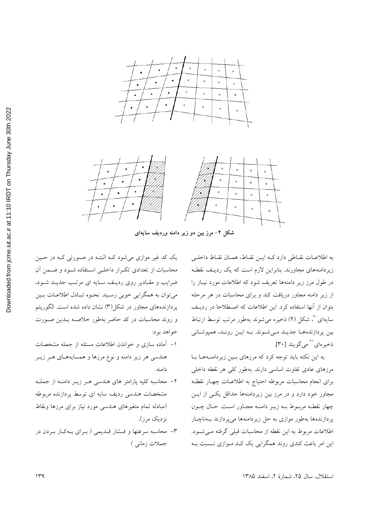

شکل ۲– مرز بین دو زیر دامنه وردیف سایهای

به اطلاعـات نقـاطي دارد كـه ايـن نقـاط، همـان نقـاط داخلـي زیردامنههای مجاورند. بنابراین لازم است که یک ردیف نقطـه در طول مرز زیر دامنهها تعریف شود که اطلاعات مورد نیـاز را از زیر دامنه مجاور دریافت کند و برای محاسبات در هر مرحله بتوان از آنها استفاده کرد. این اطلاعات که اصطلاحا در ردیف سایهای بست مسکل (۲) ذخیره می شوند بهطور مرتب توسط ارتباط بین پردازنده ها جدیـد مـیشوند. بـه ایـن رونـد، همپوشانی ذخيرهاي بالسمي گويند [٣٠].

به این نکته باید توجه کرد که مرزهای بین زیردامنـههـا بـا مرزهای عادی تفاوت اساسی دارند. بهطور کلی هر نقطه داخلی برای انجام محاسبات مربوطه احتیاج به اطلاعـات چهـار نقطـه مجاور خود دارد و در مرز بین زیردامنهها حداقل یکی از این چهار نقطـه مربـوط بــه زيــر دامنــه مجــاور اسـت. حــال چــون پردازندهها بهطور موازی به حل زیردامنهها میپردازند بهناچار اطلاعات مربوط به این نقطه از محاسبات قبلی گرفته مـی شـود. این امر باعث کندی روند همگرایی یک کـد مـوازی نــسبت بــه

یک کد غیر موازی می شود کـه البتـه در صـورتی کـه در حـین محاسبات از تعدادی تکرار داخلـی اسـتفاده شـود و ضـمن آن ضرایب و مقـادیر روی ردیـف سـایه ای مرتـب جدیـد شـود، مي توان به همگرايي خوبي رسيد. نحـوه تبـادل اطلاعـات بـين پردازندههای مجاور در شکل(۳) نشان داده شده است. الگوریتم و روند محاسبات در کد حاضر بهطور خلاصه بلدین صورت خواهد بود:

- ۱– آماده سازی و خواندن اطلاعات مسئله از جمله مشخصات هندسی هر زیر دامنه و نوع مرزها و همسایههـای هـر زیـر دامنه.
- ۲- محاسبه کلیه پارامتر های هندسی هـر زیـر دامنـه از جملـه مشخصات هندسی ردیف سایه ای توسط پردازنده مربوطه (مبادله تمام متغيرهاى هندسى مورد نياز براى مرزها ونقاط نزديک مړز).
- ۳- محاسبه سرعتها و فسشار قـدیمی ( بـرای بـهکـار بـردن در جملات زمانی )

استقلال، سال ٢۵، شمارهٔ ٢، اسفند ١٣٨۵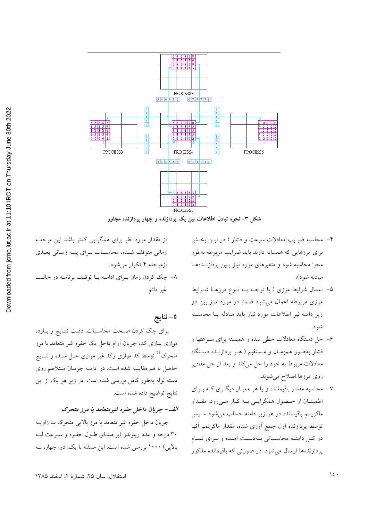

شکل ۳- نحوه تبادل اطلاعات بین یک پردازنده و چهار پردازنده مجاور

- ۴– محاسبه ضرایب معادلات سرعت و فشار ( در ایــن بخـش برای مرزهایی که همسایه دارند باید ضرایب مربوطه بهطور مجزا محاسبه شود و متغیرهای مورد نیاز بسین یردازنـدههـا مبادله شود).
- ۵– اعمال شرایط مرزی ( با توجـه بـه نـوع مرزهـا شـرایط مرزی مربوطه اعمال می شود ضمنا در مورد مرز بین دو زیر دامنه نیز اطلاعات مورد نیاز باید مبادله یـا محاسـبه شو د.
- ۶– حل دستگاه معادلات خطی شده و همبسته برای سـرعتها و فشار به طور همزمـان و مـستقيم ( هـر پردازنـده دسـتگاه معادلات مربوط به خود را حل میکند و بعد از حل مقادیر روي مرزها اصلاح مي شوند.
- ۷– محاسبه مقدار باقیمانده و یا هر معیـار دیگـری کـه بــرای اطمینــان از حــصول همگرایــی بــه کــار مــی رود. مقــدار ماکزیمم باقیمانده در هر زیر دامنه حساب می شود سـپس توسط پردازنده اول جمع آوری شده، مقدار ماکزیمم آنها در کـل دامنـه محاسـباتی بـهدسـت آمـده و بـرای تمـام پردازندهها ارسال می شود. در صورتی که باقیمانده مذکور

از مقدار مورد نظر برای همگرایی کمتر باشد این مرحله زمانی متوقف شده، محاسبات بـرای پلـه زمـانی بعـدی ازمر حله ۴ تکرار می شود. ٨- چک کردن زمان بـرای ادامــه يــا توقـف برنامــه در حالــت غير دائم.

٥- نتايج

برای چک کردن صحت محاسبات، دقت نتـايج و بـازده موازی سازی کد، جریان آرام داخل یک حفره غیر متعامد با مرز متحرک<sup>۲۲</sup> توسط کد موازی وکد غیر موازی حـل شــده و نتــایج حاصل با هم مقایسه شده است. در ادامــه جریــان مــتلاطم روی دسته لوله بهطور کامل بررسی شده است. در زیر هر یک از این نتايج توضيح داده شده است.

### الف- جريان داخل حفره غيرمتعامد با مرز متحرك

جریان داخل حفره غیر متعامد با مرز بالایی متحرک بـا زاویــه ۳۰ درجه و عدد رینولدز (بر مبنـای طـول حفـره و سـرعت لبـه بالایی) ۱۰۰۰ بررسی شده است. این مسئله با یک، دو، چهار، نـه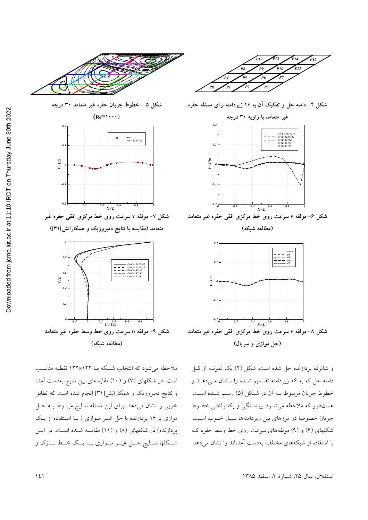

شکل ۵ – خطوط جریان حفره غیر متعامد ۳۰ درجه



**شکل ۹– مولفه u سرعت روی خط وسط حفره غیر متعامد (-3 -%\_)**

ملاحظه میشود که انتخاب شـبکه بــا ۱۲۲×۱۲۲ نقطــه مناســب است. در شکلهای (۷) و (۱۰) مقایسهای بین نتایج بهدست آمده و نتایج دمیروزیک و همکارانش[۳۱] انجام شده است که تطابق خوبی را نشان می دهد. برای این مسئله نتـایج مربـوط بـه حـل موازی با ۱۶ پردازنده با حل غیـر مـوازی ( بـا اسـتفاده از یـک پردازنده) در شکلهای (۸) و (۱۱) مقایسه شـده اسـت. در ایـن شكلها نتـــايج حــل غيــر مــوازي بـــا يــك خــط نـــازك و



شکل ۴– دامنه حل و تفکیک ان به ۱۶ زیردامنه برای مسئله حفره



شکل ۶– مولفه v سرعت روی خط مرکزی افقی حفره غیر متعامد **(-3 -%\_)**



و شانزده پردازنده حل شده است. شکل (۴) یک نمونـه از کـل دامنه حل که به ۱۶ زیردامنه تقسیم شـده را نـشان مـیدهـد و خطوط جريان مربــوط بــه اّن در شــكل (۵) رســم شــده اســت. همان طور که ملاحظه می شود پیوستگی و یکنواختی خطـوط جريان خصوصا در مرزهاى بين زيردامنهها بسيار خــوب اسـت. شکلهای (۶) و (۹) مولفههای سرعت روی خط وسط حفره ک با استفاده از شبکههای مختلف بهدست آمدهاند را نشان می دهد.

Downloaded from jcme.iut.ac.ir at 11:10 IRDT on Thursday June 30th 2022 [Downloaded from jcme.iut.ac.ir at 11:10 IRDT on Thursday June 30th 2022](https://jcme.iut.ac.ir/article-1-396-fa.html)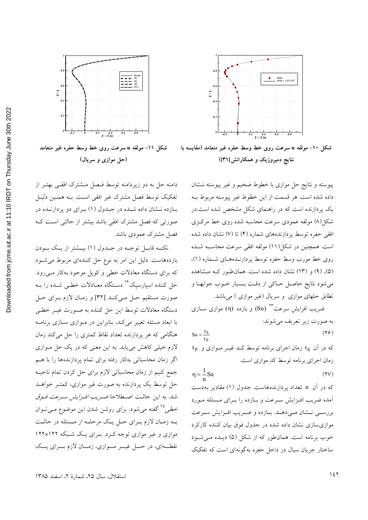

شکل ۱۰- مولفه u سرعت روی خط وسط حفره غیر متعامد (مقایسه با نتایج دمیروزیک و همکارانش[۳۱])

پیوسته و نتایج حل موازی با خطوط ضخیم و غیر پیوسته نـشان داده شده است. هر قسمت از این خطوط غیر پیوسته مربوط بـه یک پردازنده است که در راهنمای شکل مشخص شده است.در شکل(۸) مولفه عمودی سرعت محاسبه شده روی خط مرکـزی افقی حفره توسط پردازندههای شماره (۴) تا (۷) نشان داده شده است. همچنین در شکل(۱۱) مولفه افقی سرعت محاسبه شده روی خط مورب وسط حفره توسط پردازنـدههـای شـماره (۱)، (۵)، (۹) و (۱۳) نشان داده شده است. همان طور کـه مـشاهده می شود نتایج حاصل حـاکی از دقـت بـسیار خـوب جوابهـا و تطابق حلهای موازی و سریال (غیر موازی ) میباشد.

ضریب افزایش سرعت°'' (Su) و بازده (n) موازی ســازی به صورت زیر تعریف می شوند:

$$
Su = \frac{t_S}{t_P} \tag{79}
$$

 $t_P$  که در آن  $t_S$  زمان اجرای برنامه توسط کـد غیــر مــوازی و زمان اجرای برنامه توسط کد موازی است.

$$
\eta = \frac{1}{n} \text{Su} \tag{YV}
$$

که در آن n تعداد پردازندههاست. جدول (۱) مقادیر به دست آمده ضریب افـزایش سـرعت و بـازده را بـرای مـسئله مـورد بررسـي نـشان مـي٥هـد. بـازده و ضـريب افـزايش سـرعت موازی سازی نشان داده شده در جدول فوق بیان کننده کارکرد خوب برنامه است. همان طور که از شکل (۵) دیلده می شود ساختار جریان سیال در داخل حفره بهگونهای است که تفکیک



شکل ۱۱- مولفه u سرعت روی خط وسط حفره غیر متعامد (حل موازی و سریال)

دامنه حل به دو زیردامنه توسط فهل مشترک افقی بهتـر از تفکیک توسط فصل مشترک غیر افقی است. بـه همـین دلیـل بازده نشان داده شده در جدول (۱) برای دو پردازنده در صورتی که فصل مشترک افقی باشد بیشتر از حالتی است ک فصل مشترک عمودی باشد.

نکتـه قابـل توجـه در جـدول (١) بيــشتر از يـک بــودن بازدههاست. دلیل این امر به نوع حل کنندهای مربوط می شـود که برای دستگاه معادلات خطی و کوپل موجود بهکار مـیرود. حل کننده اسپارسیک<sup>۲۲</sup> دسـتگاه معــادلات خطـی شــده را بــه صورت مستقيم حـل مـىكنـد [٣٢] و زمـان لازم بـراى حـل دستگاه معادلات توسط این حل کننده به صورت غیـر خطـی با ابعاد مسئله تغییر می کند، بنابراین در مـوازی سـازی برنامـه هنگامی که هر پردازنده تعداد نقاط کمتری را حل می کند زمان لازم خیلی کاهش می یابد. به این معنی که در یک حل موازی اگر زمان محاسباتی بهکار رفته برای تمام پردازندهها را با هـم جمع كنيم از زمان محاسباتي لازم براي حل كردن تمام ناحيـه حل توسط یک پردازنده به صورت غیر موازی، کمتـر خواهــد شد. به این حالت اصطلاحا ضریب *افزایش سرعت فوق* خطی<sup>۲۵</sup> گفته میشود. برای روشن شدن این موضوع مـیتـوان بـه زمـان لازم بـراي حـل يـك مرحلـه از مـسئله در حالـت موازی و غیر موازی توجه کـرد. بـرای یـک شـبکه ۱۲۲×۱۲۲ نقطـهاي، در حـل غيــر مــوازي، زمــان لازم بــراي يــک

استقلال، سال ٢۵، شمارهٔ ٢، اسفند ١٣٨۵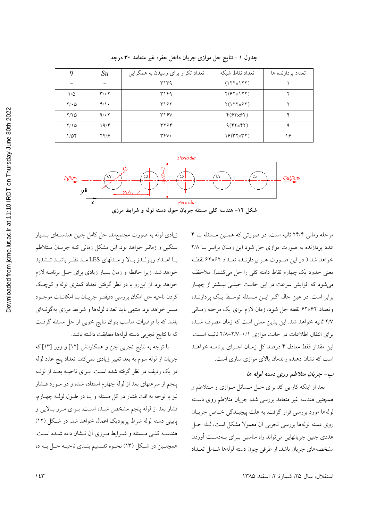| تعداد نقاط شبكه                                                          |  |
|--------------------------------------------------------------------------|--|
| تعداد تکرار برای رسیدن به همگرایی<br>تعداد پردازنده ها<br>S u<br>η       |  |
| $(177\times 177)$<br>۳۱۳۹                                                |  |
| $Y(5Y\times YY)$<br>$\mathbf{r}/\cdot\mathbf{r}$<br>۳۱۴۹<br>۱/۵          |  |
| $Y(1YY\times Y)$<br>$Y/\cdot Q$<br>$\mathfrak{r}/\mathfrak{r}$ .<br>۳۱۶۲ |  |
| 9/17<br>$Y(5Y\times 5Y)$<br>۴<br>Y/YQ<br>۳۱۶۷                            |  |
| 19/5<br>$9(YX+Y)$<br>$Y/\Omega$<br>٣٢۶۴                                  |  |
| $19(TY\times TY)$<br>۱۶<br>۲۴/۶<br>rrv.<br>۱٬۵۴                          |  |

جدول ۱ – نتایج حل موازی جریان داخل حفره غیر متعامد ۳۰ درجه



مرحله زمانی ۲۴/۴ ثانیه است، در صورتی که همین مسئله با ۴ عدد پردازنده به صورت موازي حل شود اين زمـان برابـر بـا ٢/٨ خواهد شد ( در این صورت هـر پردازنـده تعـداد ۶۲×۶۲ نقطـه يعني حدود يک چهارم نقاط دامنه کلي را حل ميکنـد). ملاحظـه می شود که افزایش سرعت در این حالت خیلی بیـشتر از چهـار برابر است. در عین حال اگـر ایــن مــسئله توسـط یــک پردازنــده وتعداد ۶۲×۶۲ نقطه حل شود، زمان لازم برای یک مرحله زمـانی ٢/٧ ثانيه خواهد شد. اين بدين معنى است كه زمان مصرف شـده برای انتقال اطلاعات در حالت موازی ۰/۱-۲/۷=۲/۸ ثانیـه اسـت. این مقدار فقط معادل ۴ درصد کل زمـان اجـرای برنامـه خواهـد است که نشان دهنده راندمان بالای موازی سازی است.

#### ب- جريان متلاطم روى دسته لوله ها

بعد از اینکه کارایی کد برای حـل مـسائل مـوازی و مـتلاطم و همچنین هندسه غیر متعامد بررسی شد، جریان متلاطم روی دسته لولهها مورد بررسي قرار گرفت. به علت پيچيـدگي خـاص جريـان روي دسته لولهها بررسي تجربي أن معمولا مشكل است، لـذا حـل عددی چنین جریانهایی می تواند راه مناسبی بـرای بـهدسـت آوردن مشخصههای جریان باشد. از طرفی چون دسته لولهها شـامل تعــداد

استقلال، سال ٢۵، شمارهٔ ٢، اسفند ١٣٨۵

زیادی لوله به صورت مجتمع اند، حل کامل چنین هندسهای بسیار سنگین و زمانبر خواهد بود. این مشکل زمانی کـه جریـان مـتلاطم بـا اعـداد رينولـدز بـالا و مـدلهاي LES مـد نظـر باشـد تـشديد خواهد شد. زیرا حافظه و زمان بسیار زیادی برای حـل برنامــه لازم خواهد بود. از این٫رو با در نظر گرفتن تعداد کمتری لوله و کوچک كردن ناحيه حل امكان بررسي دقيقتـر جريــان بــا امكانــات موجــود .<br>میسر خواهد بود. منتهی باید تعداد لولهها و شرایط مرزی بهگونــهای باشد که با فرضیات مناسب بتوان نتایج خوبی از حل مسئله گرفت كه با نتايج تجربي دسته لولهها مطابقت داشته باشد.

با توجه به نتایج تجربی چن و همکارانش [۱۲] و وور [۱۳] که جریان از لوله سوم به بعد تغییر زیادی نمیکند، تعداد پنج عدد لوله در یک ردیف در نظر گرفته شده است. بـرای ناحیــه بعـد از لولــه پنجم از سرعتهای بعد از لوله چهارم استفاده شده و در مـورد فــشار نیز با توجه به افت فشار در کل مسئله و یـا در طـول لولـه چهـارم، فشار بعد از لوله پنجم مشخص شـده اسـت. بـراي مـرز بـالايي و پایینی دسته لوله شرط پریودیک اعمال خواهد شد. در شکل (١٢) هندسـه كلـي مـسئله و شـرايط مـرزي آن نـشان داده شـده اسـت. همچنـین در شـکل (۱۳) نحـوه تقـسیم بنـدي ناحیـه حـل بـه ده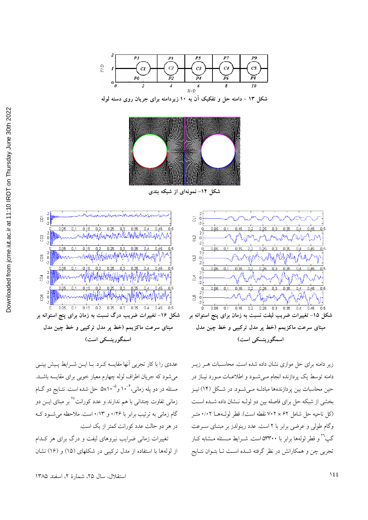

شکل ۱۳ – دامنه حل و تفکیک آن به ۱۰ زیردامنه برای جریان روی دسته لوله



شکل ۱۴- نمونهای از شبکه بندی



عددي را با كار تجربي آنها مقايسه كرد. بـا ايـن شـرايط پـيش بينـي میشود که جریان اطراف لوله چهارم معیار خوبی برای مقایسه باشـد. مسئله در دو پله زمانی،<sup>۴-۱</sup>۰ و<sup>۵</sup>-۵x۱۰ حل شده است. نتــایج دو گــام زمانی تفاوت چندانی با هم ندارند و عدد کورانت<sup>۲۷</sup> بر مبنای ایــن دو گام زمانی به ترتیب برابر با ۰/۲۶ و ۰/۱۳است. ملاحظه می شود ک در هر دو حالت عدد کورانت کمتر از یک است.

تغییرات زمانی ضرایب نیروهای لیفت و درگ برای هر کـدام از لولهها با استفاده از مدل تركيبي در شكلهاى (١٥) و (١۶) نشان

استقلال، سال ٢٥، شمارة ٢، اسفند ١٣٨٥



زیر دامنه برای حل موازی نشان داده شده است. محاسـبات هــر زیــر دامنه توسط یک پردازنده انجام مــیشــود و اطلاعــات مــورد نیــاز در حین محاسبات بین پردازندهها مبادلـه مـیشـود. در شـکل (۱۴) نیـز بخشی از شبکه حل برای فاصله بین دو لولـه نـشان داده شـده اسـت (كل ناحيه حل شامل ٧٠٢ × ٧٠٢ نقطه است). قطر لول هـا ٠/٠٢ متـر وگام طولی و عرضی برابر با ۲ است. عدد رینولدز بر مبنـای سـرعت گپ<sup>۲</sup>۲ و قطر لولهها برابر با ۵۳۳۰۰ است. شــرایط مــسئله مــشابه کــار تجربي چن و همكارانش در نظر گرفته شـده اسـت تـا بتـوان نتـايج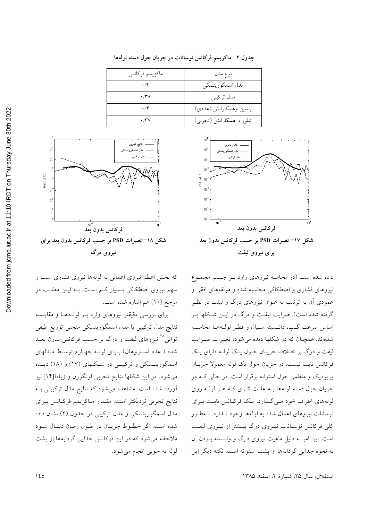| ماكزيمم فركانس      | نوع مدل                  |
|---------------------|--------------------------|
| $\cdot$ /۴          | مدل اسمگورینسکی          |
| $\cdot$ /۳ $\wedge$ | مدل تركيبي               |
| $\cdot$ /۴          | ياسين وهمكارانش (عددى)   |
| $\cdot$ /۳۷         | تیلور و همکارانش (تجربی) |

جدول ۲– ماکزیمم فرکانس نوسانات در جریان حول دسته لولهها





استقلال، سال ٢۵، شمارهٔ ٢، اسفند ١٣٨۵

که بخش اعظم نیروی اعمالی به لولهها نیروی فشاری است و سهم نیروی اصطکاکی بسیار کم است. بـه ایـن مطلـب در مرجع [١٠] هم اشاره شده است.

فركانس بدون بْعْد شکل ۱۸– تغییرات PSD بر حسب فرکانس بدون بعد برای

نيړوي درگ

نتايج تجربي

دل اسمگه

برای بررسی دقیقتر نیروهای وارد بـر لولـههـا و مقایـسه نتايج مدل تركيبي با مدل اسمگورينسكي منحني توزيع طيفي توانی<sup>۲۸</sup> نیروهای لیفت و درگ بر حسب فرکانس بدون بعــد شده ( عدد استروهال) بـرای لولـه چهـارم توسـط مـدلهای اسمگورینسکی و ترکیبی در شکلهای (۱۷) و (۱۸) دیله می شود. در این شکلها نتایج تجربی اونگورن و زیادا[۱۴] نیز آورده شده است. مشاهده می شود که نتایج مدل ترکیبی ب نتايج تجربي نزديكتر است. مقـدار مـاكزيمم فركـانس بـراي مدل اسمگورینسکی و مدل ترکیبی در جدول (۲) نشان داده شده است. اگر خطوط جريان در طول زمان دنبال شود ملاحظه می شود که در این فرکانس جدایی گردابهها از پشت لوله به خوبي انجام مي شود.

 $10$ 

 $10^9$ 

 $10^{\degree}$ 

 $10^{\degree}$ PSD of CD

 $10$ 

 $10^{\degree}$ 

 $10^4$ 

 $10^4$ 

 $10<sup>1</sup>$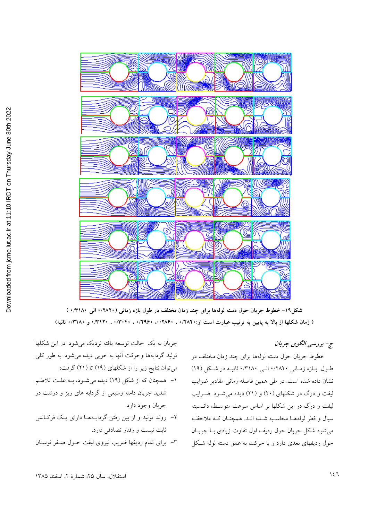

شکل۱۹– خطوط جریان حول دسته لولهها برای چند زمان مختلف در طول بازه زمانی (۱۲۸۲۰ الی ۱٬۳۱۸۰) ( زمان شکلها از بالا به پایین به ترتیب عبارت است از:۰/۲۸۲۰ ، ۰/۲۸۶۰ ، ۰/۳۹۶۰ ، ۰/۳۱۲۰ ، ۰/۳۱۲۰ و ۰/۳۱۸۰ ثانیه)

ج- بررسی الگوی جریان

خطوط جریان حول دسته لولهها برای چند زمان مختلف در طــول بــازه زمــانی ۱٬۲۸۲۰ الــی ۱۳۱۸۰ ثانیــه در شــکل (۱۹) نشان داده شده است. در طی همین فاصله زمانی مقادیر ضرایب لیفت و درگ در شکلهای (۲۰) و (۲۱) دیده میشوود. ضـرایب لیفت و درگ در این شکلها بر اساس سرعت متوسط، دانسیته سیال و قطر لولههــا محاسـبه شــده انــد. همچنــان کــه ملاحظـه میشود شکل جریان حول ردیف اول تفاوت زیادی بــا جریــان حول ردیفهای بعدی دارد و با حرکت به عمق دسته لوله شـکل

جریان به یک حالت توسعه یافته نزدیک می شود. در این شکلها تولید گردابهها وحرکت آنها به خوبی دیده می شود. به طور کلی میتوان نتایج زیر را از شکلهای (۱۹) تا (۲۱) گرفت:

- ۱- همچنان که از شکل (۱۹) دیده می شود، بـه علـت تلاطـم شدید جریان دامنه وسیعی از گردابه های ریز و درشت در جريان وجود دارد.
- ۲– روند تولید و از بین رفتن گردابـههـا دارای یـک فرکـانس ثابت نیست و رفتار تصادفی دارد.
- ۳– برای تمام ردیفها ضریب نیروی لیفت حــول صــفر نوســان

ل، سال ۲۵، شمارهٔ ۲، اسفند ۱۳۸۵ استقلا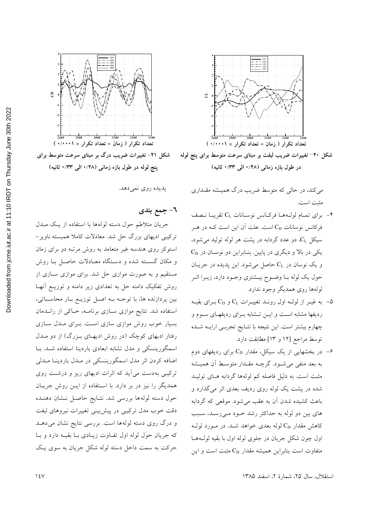



شکل ۲۰– تغییرات ضریب لیفت بر مبنای سرعت متوسط برای پنج لوله **(-q \/QQ ) \/Nd) )** 

می کند، در حالی که متوسط ضریب درگ همیــشه مقــداری مثبت است.

- وراي تمام لولـههـا فركـانس نوسـانات CL تقريبـا نـصف $\zeta$ فرکانس نوسانات C<sub>D</sub> است. علت آن این است کـه در هـر سیکل C<sub>L</sub>، دو عدد گردابه در پشت هر لوله تولید می شود،  $C_D$  یکی در بالا و دیگری در پایین. بنـابراین دو نوسـان در و یک نوسان در  $\rm C_{L}$  حاصل میشود. این پدیده در جریــان حول یک لوله بـا وضـوح بیــشتری وجـود دارد، زیــرا اثــر لولهها روي همديگر وجود ندارد.
- م به غیــر از لولــه اول رونــد تغییــرات  $\rm C_{L}$  و  $\rm C_{D}$  بــرای بقیــه $\rm \Delta$ ردیفها مشابه است و ایــن تــشابه بــرای ردیفهــای ســوم و چهارم بیشتر است. این نتیجه با نتـایج تجربـی ارایــه شــده توسط مراجع [۱۲ و ۱۳] مطابقت دارد.
- در بخشهایی از یک سیکل، مقدار  $\rm C_{D}$  برای ردیفهای دوم $^{2}$ به بعد منفی می شـود. گرچـه مقـدار متوسـط آن همیــشه مثبت است. به دلیل فاصله کم لولهها گردابه هـای تولیــد شده در پشت یک لوله روی ردیف بعدی اثر میگذارد و باعث كشيده شدن أن به عقب مي شود. موقعي كه گردابه های بین دو لوله به حداکثر رشد خـود مـیرسـد، سـبب کاهش مقدار  $\mathrm{C}_{\mathrm{D}}$  لوله بعدی خواهد شـد. در مـورد لولـه اول چون شکل جریان در جلوی لوله اول با بقیه لولــههــا متفاوت است بنابراین همیشه مقدار C<sub>D</sub> مثبت است و این



**پنج لوله در طول بازه زمانی (۱۲۸ الی ۱٬۳۳ ثانیه)** 

يديده روى نمى دهد.

**. جمع بندی** 

جریان متلاطم حول دسته لولهها با استفاده از یـک مــدل ترکیبی ادیهای بزرگ حل شد. معادلات کاملا همبسته ناویر-استوکز روی هندسه غیر متعامد به روش مرتبه دو برای زمان و مکان گسسته شده و دستگاه معـادلات حاصـل بـا روش مستقیم و به صورت موازی حل شد. برای موازی سـازی از روش تفکیک دامنه حل به تعدادی زیر دامنه و توزیـع آنهـا بین پردازنده ها، با توجـه بـه اصـل توزیـع بـار محاسـباتی، استفاده شد. نتایج موازی سـازی برنامـه، حـاکی از رانــدمان بسیار خوب روش موازی سازی اسـت. بــرای مــدل ســازی رفتار ادیهای کوچک (در روش ادیهـای بــزرگ) از دو مــدل اسمگورینسکی و مدل تشابه ابعادی باردینا استفاده شــد. بــا اضافه کردن اثر مدل اسمگورینسکی در مـدل باردینــا مــدلی ترکیبی بهدست می آید که اثرات ادیهای ریز و درشت روی همدیگر را نیز در بر دارد. با استفاده از ایـن روش جریـان حول دسته لولهها بررسی شد. نتـایج حاصــل نــشان دهنــده دقت خوب مدل ترکیبی در پیشبیی تغییرات نیروهای لیفت و درگ روی دسته لولهها است. بررسی نتایج نشان میدهـد که جریان حول لوله اول تفـاوت زیــادی بــا بقیــه دارد و بــا حرکت به سمت داخل دسته لوله شکل جریان به سوی یک

استقلال، سال ۲۵، شمارهٔ ۲، اسفند ۱۳۸۵  $\,$ ۰۰ اسفند ۱۳۸۵  $\,$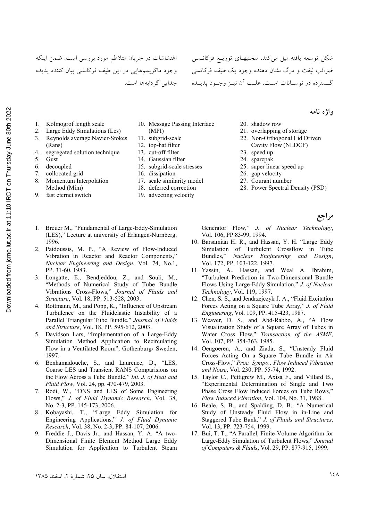اغتشاشات در جریان متلاطم مورد بررسی است. ضمن اینکه وجود ماکزیممهایی در این طیف فرکانسی بیان کننده پدیده جدایی گر دابهها است.

شکا<sub>،</sub> توسعه یافته میل میکند. منحنیهـای توزیــع فرکانــسی ضرائب ليفت و درگ نشان دهنده وجود يک طيف فرکانسي گـسترده در نوســانات اســت. علــت أن نيــز وجــود يديــده

- 1. Kolmogrof length scale
- 2. Large Eddy Simulations (Les)
- 3. Reynolds average Navier-Stokes (Rans)
- 4. segregated solution technique
- 5. Gust
- 6. decoupled
- 7. collocated grid
- 8. Momentum Interpolation Method (Mim)
- 9. fast eternet switch
- 10. Message Passing Interface (MPI)
- 11. subgrid-scale
- 12. top-hat filter
- 13. cut-off filter
- 14. Gaussian filter
- 15. subgrid-scale stresses
- 16. dissipation
- 17. scale similarity model
- 18. deferred correction
- 19. advecting velocity
- 20. shadow row
- 21. overlapping of storage
- 22. Non-Orthogonal Lid Driven Cavity Flow (NLDCF)

واژه نامه

**بر اجع** 

- 23. speed up
- 24. sparcpak
- 25. super linear speed up
- 26. gap velocity
- 27. Courant number
	- 28. Power Spectral Density (PSD)

Generator Flow," *J. of Nuclear Technology*,

- (LES)," Lecture at university of Erlangen-Nurnberg, 1996. 2. Paidoussis, M. P., "A Review of Flow-Induced Vibration in Reactor and Reactor Components,"
- *Nuclear Engineering and Design*, Vol. 74, No.1, PP. 31-60, 1983.

1. Breuer M., "Fundamental of Large-Eddy-Simulation

- 3. Longatte, E., Bendjeddou, Z., and Souli, M., "Methods of Numerical Study of Tube Bundle Vibrations Cross-Flows," *Journal of Fluids and Structure*, Vol. 18, PP. 513-528, 2003.
- 4. Rottmann, M., and Popp, K., "Influence of Upstream Turbulence on the Fluidelastic Instability of a Parallel Triangular Tube Bundle," *Journal of Fluids and Structure*, Vol. 18, PP. 595-612, 2003.
- 5. Davidson Lars, "Implementation of a Large-Eddy Simulation Method Application to Recirculating Flow in a Ventilated Room", Gothenburg, Sweden, 1997.
- 6. Benhamadouche, S., and Laurence, D., "LES, Coarse LES and Transient RANS Comparisions on the Flow Across a Tube Bundle," *Int. J. of Heat and Fluid Flow*, Vol. 24, pp. 470-479, 2003.
- 7. Rodi, W., "DNS and LES of Some Engineering Flows," *J. of Fluid Dynamic Research*, Vol. 38, No. 2-3, PP. 145-173, 2006.
- 8. Kobayashi, T., "Large Eddy Simulation for Engineering Applications," *J. of Fluid Dynamic Research*, Vol. 38, No. 2-3, PP. 84-107, 2006.
- 9. Freddie J., Davis Jr., and Hassan, Y. A. "A two-Dimensional Finite Element Method Large Eddy Simulation for Application to Turbulent Steam

Vol. 106, PP.83-99, 1994. 10. Barsamian H. R., and Hassan, Y. H. "Large Eddy

- Simulation of Turbulent Crossflow in Tube Bundles," *Nuclear Engineering and Design*, Vol. 172, PP. 103-122, 1997.
- 11. Yassin, A., Hassan, and Weal A. Ibrahim, "Turbulent Prediction in Two-Dimensional Bundle Flows Using Large-Eddy Simulation," *J. of Nuclear Technology*, Vol. 119, 1997.
- 12. Chen, S. S., and Jendrzejczyk J. A., "Fluid Excitation Forces Acting on a Square Tube Array," *J. of Fluid Engineering*, Vol. 109, PP. 415-423, 1987.
- 13. Weaver, D. S., and Abd-Rabbo, A., "A Flow Visualization Study of a Square Array of Tubes in Water Cross Flow," *Transaction of the ASME*, Vol. 107, PP. 354-363, 1985.
- 14. Oengoeren, A., and Ziada, S., "Unsteady Fluid Forces Acting On a Square Tube Bundle in Air Cross-Flow," *Proc. Sympo., Flow Induced Vibration and Noise*, Vol. 230, PP. 55-74, 1992.
- 15. Taylor C., Pettigrew M., Axisa F., and Villard B., "Experimental Determination of Single and Two Phase Cross Flow Induced Forces on Tube Rows," *Flow Induced Vibration*, Vol. 104, No. 31, 1988.
- 16. Beale, S. B., and Spalding, D. B., "A Numerical Study of Unsteady Fluid Flow in in-Line and Staggered Tube Bank," *J. of Fluids and Structures*, Vol. 13, PP. 723-754, 1999.
- 17. Bui, T. T., "A Parallel, Finite-Volume Algorithm for Large-Eddy Simulation of Turbulent Flows," *Journal of Computers & Fluids*, Vol. 29, PP. 877-915, 1999.